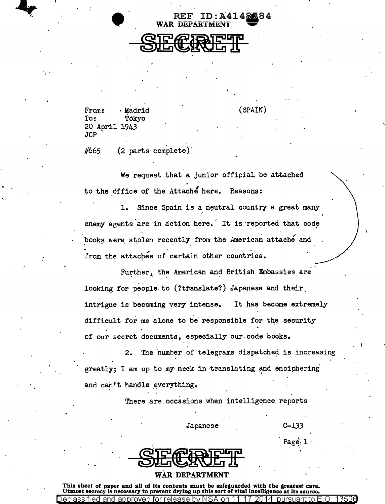$\bullet$ 

REF WAR DEPARTMENT

From: **Madrid**<br>To: Tokvo Tokyo 20 April 1943 JCP

' . '

#665 (2 parts complete)'

We request that a junior official be attached to the office of the Attache here. Reasons:

(SPAIN)

ID: A4148384

1. Since Spain is a neutral country a great many ' enemy agents are in action here. It is reported that code books were stolen recently from the American attache and from the attaches of certain other countries.  $\mathcal{L}$ 

Further, the American and British Embassies are looking for people to (?tfanslate?) Japanese and their intrigue is becoming very intense. It has become extremely difficult for me alone to be responsible for the security of our secret documents, especially our code books.

 $2.$  The number of telegrams dispatched is increasing greatly; I am up to my neck in translating and enciphering. and can't handle everything.

There are occasions when intelligence reports

Japanese C-1.33

. Page\ 1 "

. I

## WAR DEPARTMENT

This sheet of paper and all of its contents must be safeguarded with the greatest care.<br>Utmost secrecy is necessary to prevent drying up this sort of vital intelligence at its source. Declassified and approved for release by NSA on 11-17-2014 pursuant to E .0. 1352a